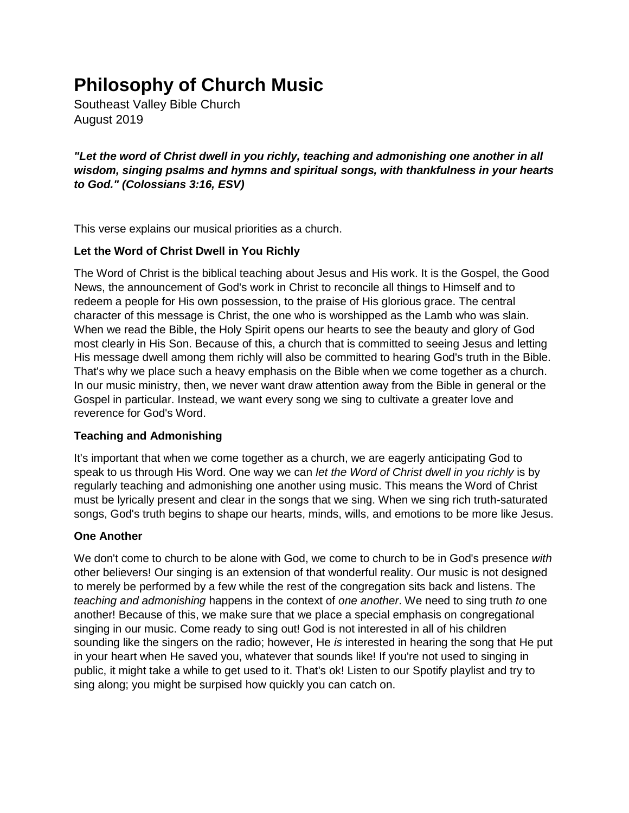# **Philosophy of Church Music**

Southeast Valley Bible Church August 2019

*"Let the word of Christ dwell in you richly, teaching and admonishing one another in all wisdom, singing psalms and hymns and spiritual songs, with thankfulness in your hearts to God." (Colossians 3:16, ESV)*

This verse explains our musical priorities as a church.

### **Let the Word of Christ Dwell in You Richly**

The Word of Christ is the biblical teaching about Jesus and His work. It is the Gospel, the Good News, the announcement of God's work in Christ to reconcile all things to Himself and to redeem a people for His own possession, to the praise of His glorious grace. The central character of this message is Christ, the one who is worshipped as the Lamb who was slain. When we read the Bible, the Holy Spirit opens our hearts to see the beauty and glory of God most clearly in His Son. Because of this, a church that is committed to seeing Jesus and letting His message dwell among them richly will also be committed to hearing God's truth in the Bible. That's why we place such a heavy emphasis on the Bible when we come together as a church. In our music ministry, then, we never want draw attention away from the Bible in general or the Gospel in particular. Instead, we want every song we sing to cultivate a greater love and reverence for God's Word.

# **Teaching and Admonishing**

It's important that when we come together as a church, we are eagerly anticipating God to speak to us through His Word. One way we can *let the Word of Christ dwell in you richly* is by regularly teaching and admonishing one another using music. This means the Word of Christ must be lyrically present and clear in the songs that we sing. When we sing rich truth-saturated songs, God's truth begins to shape our hearts, minds, wills, and emotions to be more like Jesus.

#### **One Another**

We don't come to church to be alone with God, we come to church to be in God's presence *with* other believers! Our singing is an extension of that wonderful reality. Our music is not designed to merely be performed by a few while the rest of the congregation sits back and listens. The *teaching and admonishing* happens in the context of *one another*. We need to sing truth *to* one another! Because of this, we make sure that we place a special emphasis on congregational singing in our music. Come ready to sing out! God is not interested in all of his children sounding like the singers on the radio; however, He *is* interested in hearing the song that He put in your heart when He saved you, whatever that sounds like! If you're not used to singing in public, it might take a while to get used to it. That's ok! Listen to our Spotify playlist and try to sing along; you might be surpised how quickly you can catch on.